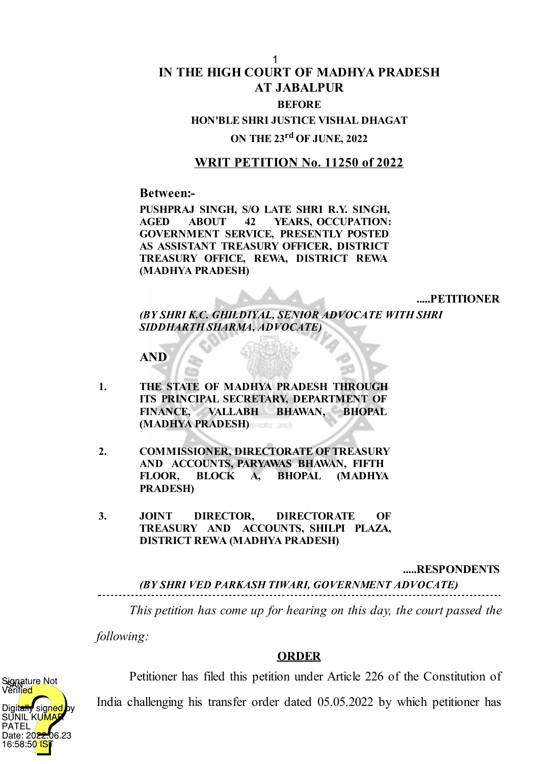# **IN THE HIGH COURT OF MADHYA PRADESH AT JABALPUR BEFORE** 1

**HON'BLE SHRI JUSTICE VISHAL DHAGAT**

# **ON THE 23 rd OF JUNE, 2022**

## **WRIT PETITION No. 11250 of 2022**

### **Between:-**

**PUSHPRAJ SINGH, S/O LATE SHRI R.Y. SINGH, AGED ABOUT 42 YEARS, OCCUPATION: GOVERNMENT SERVICE, PRESENTLY POSTED AS ASSISTANT TREASURY OFFICER, DISTRICT TREASURY OFFICE, REWA, DISTRICT REWA (MADHYA PRADESH)**

**.....PETITIONER**

*(BY SHRI K.C. GHILDIYAL, SENIOR ADVOCATE WITH SHRI SIDDHARTH SHARMA, ADVOCATE)*

**AND**

- **1. THE STATE OF MADHYA PRADESH THROUGH ITS PRINCIPAL SECRETARY, DEPARTMENT OF FINANCE, VALLABH BHAWAN, BHOPAL (MADHYA PRADESH)**
- **2. COMMISSIONER, DIRECTORATE OFTREASURY AND ACCOUNTS, PARYAWAS BHAWAN, FIFTH FLOOR, BLOCK A, BHOPAL (MADHYA PRADESH)**
- **3. JOINT DIRECTOR, DIRECTORATE OF TREASURY AND ACCOUNTS, SHILPI PLAZA, DISTRICT REWA (MADHYA PRADESH)**

#### **.....RESPONDENTS**

*(BY SHRI VED PARKASH TIWARI, GOVERNMENT ADVOCATE)*

*This petition has come up for hearing on this day, the court passed the*

*following:*

### **ORDER**



Petitioner has filed this petition under Article 226 of the Constitution of

India challenging his transfer order dated 05.05.2022 by which petitioner has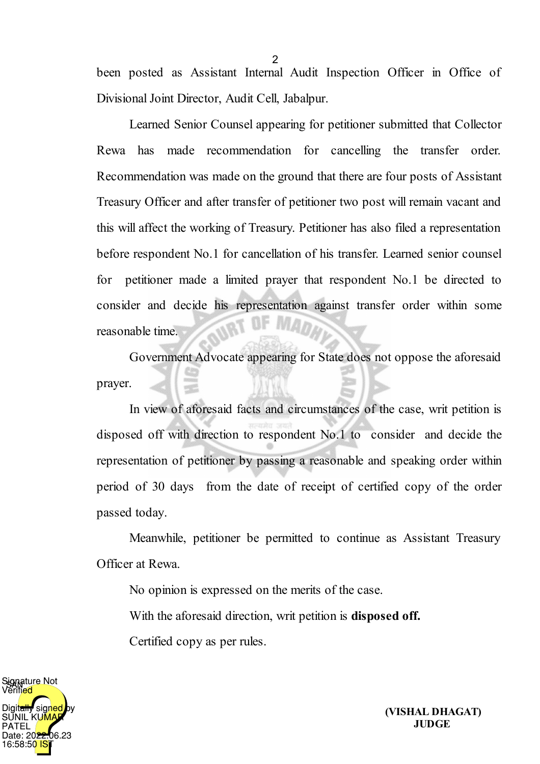been posted as Assistant Internal Audit Inspection Officer in Office of Divisional Joint Director, Audit Cell, Jabalpur.

Learned Senior Counsel appearing for petitioner submitted that Collector Rewa has made recommendation for cancelling the transfer order. Recommendation was made on the ground that there are four posts of Assistant Treasury Officer and after transfer of petitioner two post will remain vacant and this will affect the working of Treasury. Petitioner has also filed a representation before respondent No.1 for cancellation of his transfer. Learned senior counsel for petitioner made a limited prayer that respondent No.1 be directed to consider and decide his representation against transfer order within some reasonable time.

Government Advocate appearing for State does not oppose the aforesaid prayer.

In view of aforesaid facts and circumstances of the case, writ petition is disposed off with direction to respondent No.1 to consider and decide the representation of petitioner by passing a reasonable and speaking order within period of 30 days from the date of receipt of certified copy of the order passed today.

Meanwhile, petitioner be permitted to continue as Assistant Treasury Officer at Rewa.

No opinion is expressed on the merits of the case.

With the aforesaid direction, writ petition is **disposed off.**

Certified copy as per rules.